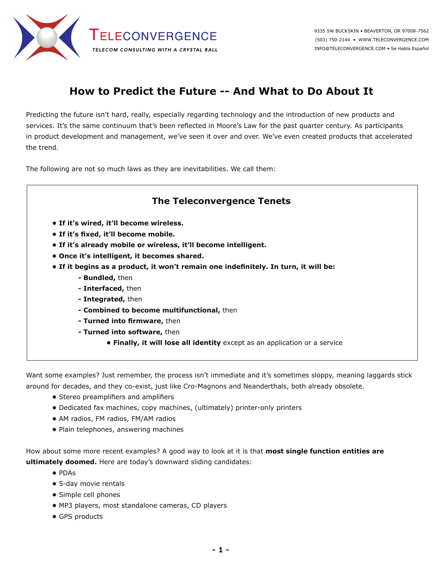

## **How to Predict the Future -- And What to Do About It**

Predicting the future isn't hard, really, especially regarding technology and the introduction of new products and services. It's the same continuum that's been reflected in Moore's Law for the past quarter century. As participants in product development and management, we've seen it over and over. We've even created products that accelerated the trend.

The following are not so much laws as they are inevitabilities. We call them:

## **The Teleconvergence Tenets**

- **If it's wired, it'll become wireless.**
- **If it's fixed, it'll become mobile.**
- **If it's already mobile or wireless, it'll become intelligent.**
- **Once it's intelligent, it becomes shared.**
- **If it begins as a product, it won't remain one indefinitely. In turn, it will be:**
	- **Bundled,** then
	- **Interfaced,** then
	- **Integrated,** then
	- **Combined to become multifunctional,** then
	- **Turned into firmware,** then
	- **Turned into software,** then
		- **Finally, it will lose all identity** except as an application or a service

Want some examples? Just remember, the process isn't immediate and it's sometimes sloppy, meaning laggards stick around for decades, and they co-exist, just like Cro-Magnons and Neanderthals, both already obsolete.

- Stereo preamplifiers and amplifiers
- Dedicated fax machines, copy machines, (ultimately) printer-only printers
- AM radios, FM radios, FM/AM radios
- Plain telephones, answering machines

How about some more recent examples? A good way to look at it is that **most single function entities are ultimately doomed.** Here are today's downward sliding candidates:

- PDAs
- 5-day movie rentals
- Simple cell phones
- MP3 players, most standalone cameras, CD players
- GPS products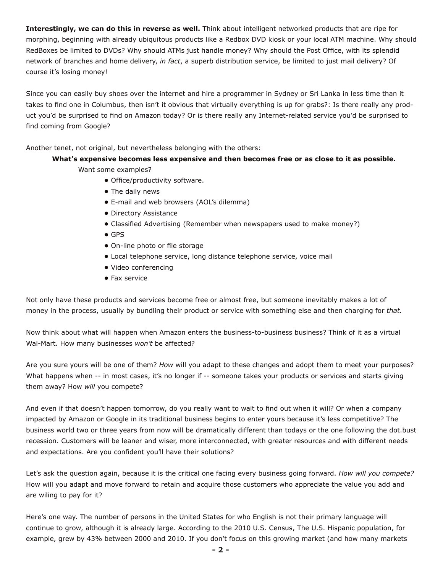**Interestingly, we can do this in reverse as well.** Think about intelligent networked products that are ripe for morphing, beginning with already ubiquitous products like a Redbox DVD kiosk or your local ATM machine. Why should RedBoxes be limited to DVDs? Why should ATMs just handle money? Why should the Post Office, with its splendid network of branches and home delivery, *in fact*, a superb distribution service, be limited to just mail delivery? Of course it's losing money!

Since you can easily buy shoes over the internet and hire a programmer in Sydney or Sri Lanka in less time than it takes to find one in Columbus, then isn't it obvious that virtually everything is up for grabs?: Is there really any product you'd be surprised to find on Amazon today? Or is there really any Internet-related service you'd be surprised to find coming from Google?

Another tenet, not original, but nevertheless belonging with the others:

## **What's expensive becomes less expensive and then becomes free or as close to it as possible.**

Want some examples?

- Office/productivity software.
- The daily news
- E-mail and web browsers (AOL's dilemma)
- Directory Assistance
- Classified Advertising (Remember when newspapers used to make money?)
- GPS
- On-line photo or file storage
- Local telephone service, long distance telephone service, voice mail
- Video conferencing
- Fax service

Not only have these products and services become free or almost free, but someone inevitably makes a lot of money in the process, usually by bundling their product or service with something else and then charging for *that.*

Now think about what will happen when Amazon enters the business-to-business business? Think of it as a virtual Wal-Mart. How many businesses *won't* be affected?

Are you sure yours will be one of them? *How* will you adapt to these changes and adopt them to meet your purposes? What happens when -- in most cases, it's no longer if -- someone takes your products or services and starts giving them away? How *will* you compete?

And even if that doesn't happen tomorrow, do you really want to wait to find out when it will? Or when a company impacted by Amazon or Google in its traditional business begins to enter yours because it's less competitive? The business world two or three years from now will be dramatically different than todays or the one following the dot.bust recession. Customers will be leaner and wiser, more interconnected, with greater resources and with different needs and expectations. Are you confident you'll have their solutions?

Let's ask the question again, because it is the critical one facing every business going forward. *How will you compete?* How will you adapt and move forward to retain and acquire those customers who appreciate the value you add and are wiling to pay for it?

Here's one way. The number of persons in the United States for who English is not their primary language will continue to grow, although it is already large. According to the 2010 U.S. Census, The U.S. Hispanic population, for example, grew by 43% between 2000 and 2010. If you don't focus on this growing market (and how many markets